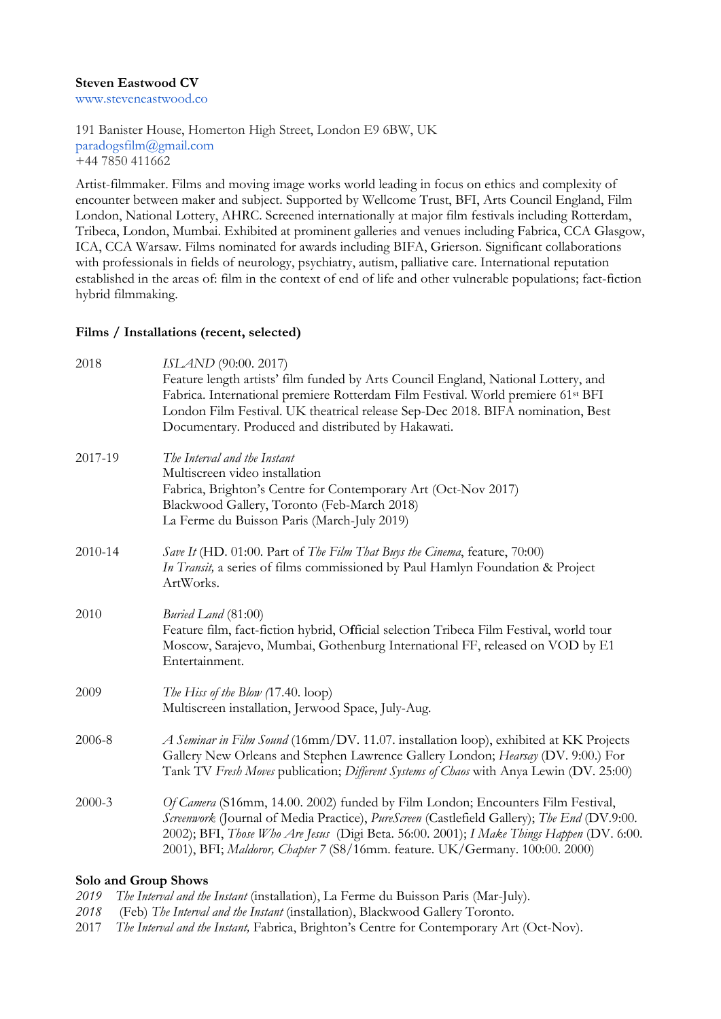#### **Steven Eastwood CV**

www.steveneastwood.co

191 Banister House, Homerton High Street, London E9 6BW, UK paradogsfilm@gmail.com +44 7850 411662

Artist-filmmaker. Films and moving image works world leading in focus on ethics and complexity of encounter between maker and subject. Supported by Wellcome Trust, BFI, Arts Council England, Film London, National Lottery, AHRC. Screened internationally at major film festivals including Rotterdam, Tribeca, London, Mumbai. Exhibited at prominent galleries and venues including Fabrica, CCA Glasgow, ICA, CCA Warsaw. Films nominated for awards including BIFA, Grierson. Significant collaborations with professionals in fields of neurology, psychiatry, autism, palliative care. International reputation established in the areas of: film in the context of end of life and other vulnerable populations; fact-fiction hybrid filmmaking.

#### **Films / Installations (recent, selected)**

| 2018    | ISLAND (90:00. 2017)<br>Feature length artists' film funded by Arts Council England, National Lottery, and<br>Fabrica. International premiere Rotterdam Film Festival. World premiere 61st BFI<br>London Film Festival. UK theatrical release Sep-Dec 2018. BIFA nomination, Best<br>Documentary. Produced and distributed by Hakawati.                     |
|---------|-------------------------------------------------------------------------------------------------------------------------------------------------------------------------------------------------------------------------------------------------------------------------------------------------------------------------------------------------------------|
| 2017-19 | The Interval and the Instant<br>Multiscreen video installation<br>Fabrica, Brighton's Centre for Contemporary Art (Oct-Nov 2017)<br>Blackwood Gallery, Toronto (Feb-March 2018)<br>La Ferme du Buisson Paris (March-July 2019)                                                                                                                              |
| 2010-14 | Save It (HD. 01:00. Part of The Film That Buys the Cinema, feature, 70:00)<br>In Transit, a series of films commissioned by Paul Hamlyn Foundation & Project<br>ArtWorks.                                                                                                                                                                                   |
| 2010    | Buried Land (81:00)<br>Feature film, fact-fiction hybrid, Official selection Tribeca Film Festival, world tour<br>Moscow, Sarajevo, Mumbai, Gothenburg International FF, released on VOD by E1<br>Entertainment.                                                                                                                                            |
| 2009    | The Hiss of the Blow (17.40. loop)<br>Multiscreen installation, Jerwood Space, July-Aug.                                                                                                                                                                                                                                                                    |
| 2006-8  | A Seminar in Film Sound (16mm/DV. 11.07. installation loop), exhibited at KK Projects<br>Gallery New Orleans and Stephen Lawrence Gallery London; Hearsay (DV. 9:00.) For<br>Tank TV Fresh Moves publication; Different Systems of Chaos with Anya Lewin (DV. 25:00)                                                                                        |
| 2000-3  | Of Camera (S16mm, 14.00. 2002) funded by Film London; Encounters Film Festival,<br>Screenwork (Journal of Media Practice), PureScreen (Castlefield Gallery); The End (DV.9:00.<br>2002); BFI, Those Who Are Jesus (Digi Beta. 56:00. 2001); I Make Things Happen (DV. 6:00.<br>2001), BFI; Maldoror, Chapter 7 (S8/16mm. feature. UK/Germany. 100:00. 2000) |

### **Solo and Group Shows**

*2019 The Interval and the Instant* (installation), La Ferme du Buisson Paris (Mar-July).

- *2018* (Feb) *The Interval and the Instant* (installation), Blackwood Gallery Toronto.
- 2017 *The Interval and the Instant,* Fabrica, Brighton's Centre for Contemporary Art (Oct-Nov).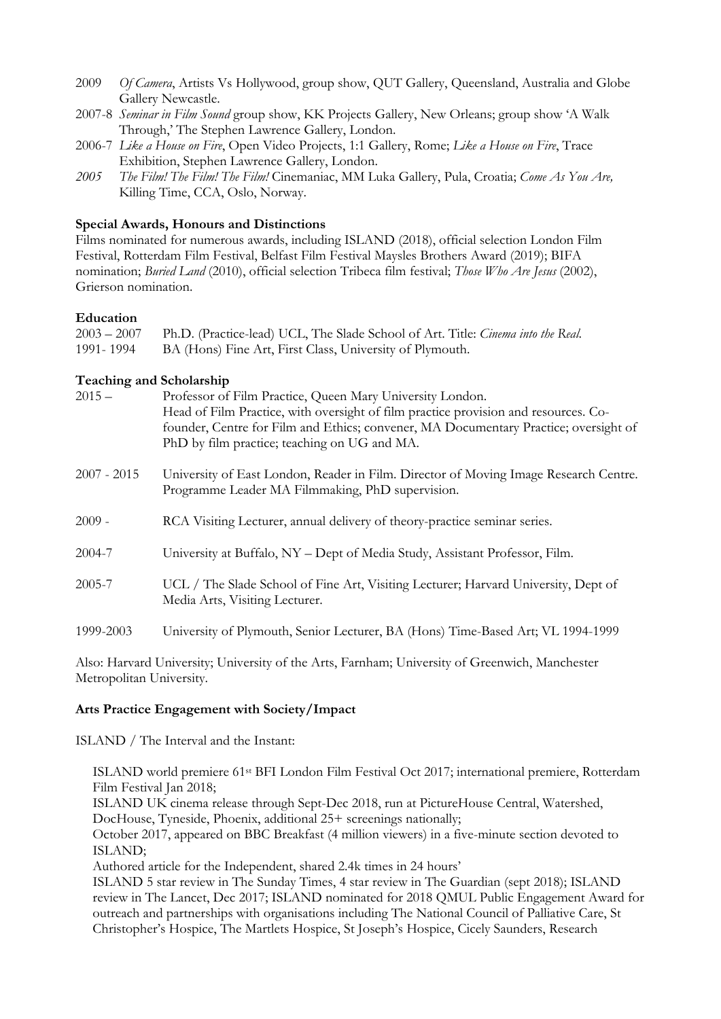- 2009 *Of Camera*, Artists Vs Hollywood, group show, QUT Gallery, Queensland, Australia and Globe Gallery Newcastle.
- 2007-8 *Seminar in Film Sound* group show, KK Projects Gallery, New Orleans; group show 'A Walk Through,' The Stephen Lawrence Gallery, London.
- 2006-7 *Like a House on Fire*, Open Video Projects, 1:1 Gallery, Rome; *Like a House on Fire*, Trace Exhibition, Stephen Lawrence Gallery, London.
- *2005 The Film! The Film! The Film!* Cinemaniac, MM Luka Gallery, Pula, Croatia; *Come As You Are,*  Killing Time, CCA, Oslo, Norway.

### **Special Awards, Honours and Distinctions**

Films nominated for numerous awards, including ISLAND (2018), official selection London Film Festival, Rotterdam Film Festival, Belfast Film Festival Maysles Brothers Award (2019); BIFA nomination; *Buried Land* (2010), official selection Tribeca film festival; *Those Who Are Jesus* (2002), Grierson nomination.

### **Education**

|           | 2003 - 2007 Ph.D. (Practice-lead) UCL, The Slade School of Art. Title: <i>Cinema into the Real.</i> |
|-----------|-----------------------------------------------------------------------------------------------------|
| 1991-1994 | BA (Hons) Fine Art, First Class, University of Plymouth.                                            |

## **Teaching and Scholarship**

| $2015 -$      | Professor of Film Practice, Queen Mary University London.<br>Head of Film Practice, with oversight of film practice provision and resources. Co-<br>founder, Centre for Film and Ethics; convener, MA Documentary Practice; oversight of<br>PhD by film practice; teaching on UG and MA. |
|---------------|------------------------------------------------------------------------------------------------------------------------------------------------------------------------------------------------------------------------------------------------------------------------------------------|
| $2007 - 2015$ | University of East London, Reader in Film. Director of Moving Image Research Centre.<br>Programme Leader MA Filmmaking, PhD supervision.                                                                                                                                                 |
| $2009 -$      | RCA Visiting Lecturer, annual delivery of theory-practice seminar series.                                                                                                                                                                                                                |
| 2004-7        | University at Buffalo, NY - Dept of Media Study, Assistant Professor, Film.                                                                                                                                                                                                              |
| 2005-7        | UCL / The Slade School of Fine Art, Visiting Lecturer; Harvard University, Dept of<br>Media Arts, Visiting Lecturer.                                                                                                                                                                     |
| 1999-2003     | University of Plymouth, Senior Lecturer, BA (Hons) Time-Based Art; VL 1994-1999                                                                                                                                                                                                          |

Also: Harvard University; University of the Arts, Farnham; University of Greenwich, Manchester Metropolitan University.

#### **Arts Practice Engagement with Society/Impact**

ISLAND / The Interval and the Instant:

ISLAND world premiere 61st BFI London Film Festival Oct 2017; international premiere, Rotterdam Film Festival Jan 2018;

ISLAND UK cinema release through Sept-Dec 2018, run at PictureHouse Central, Watershed, DocHouse, Tyneside, Phoenix, additional 25+ screenings nationally;

October 2017, appeared on BBC Breakfast (4 million viewers) in a five-minute section devoted to ISLAND;

Authored article for the Independent, shared 2.4k times in 24 hours'

ISLAND 5 star review in The Sunday Times, 4 star review in The Guardian (sept 2018); ISLAND review in The Lancet, Dec 2017; ISLAND nominated for 2018 QMUL Public Engagement Award for outreach and partnerships with organisations including The National Council of Palliative Care, St Christopher's Hospice, The Martlets Hospice, St Joseph's Hospice, Cicely Saunders, Research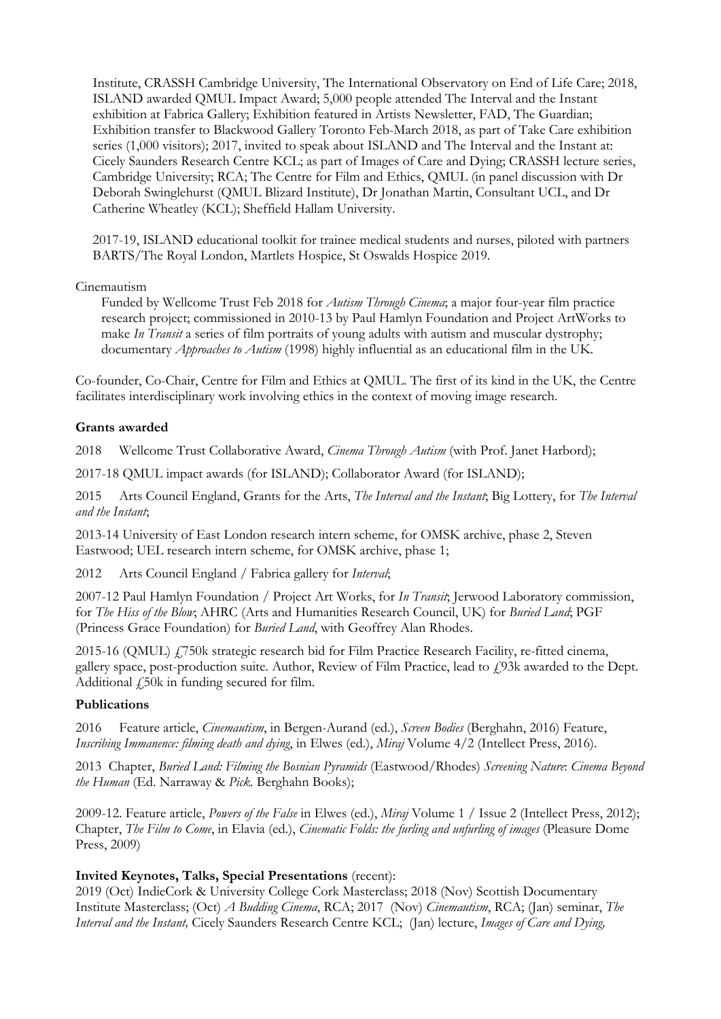Institute, CRASSH Cambridge University, The International Observatory on End of Life Care; 2018, ISLAND awarded QMUL Impact Award; 5,000 people attended The Interval and the Instant exhibition at Fabrica Gallery; Exhibition featured in Artists Newsletter, FAD, The Guardian; Exhibition transfer to Blackwood Gallery Toronto Feb-March 2018, as part of Take Care exhibition series (1,000 visitors); 2017, invited to speak about ISLAND and The Interval and the Instant at: Cicely Saunders Research Centre KCL; as part of Images of Care and Dying; CRASSH lecture series, Cambridge University; RCA; The Centre for Film and Ethics, QMUL (in panel discussion with Dr Deborah Swinglehurst (QMUL Blizard Institute), Dr Jonathan Martin, Consultant UCL, and Dr Catherine Wheatley (KCL); Sheffield Hallam University.

2017-19, ISLAND educational toolkit for trainee medical students and nurses, piloted with partners BARTS/The Royal London, Martlets Hospice, St Oswalds Hospice 2019.

Cinemautism

Funded by Wellcome Trust Feb 2018 for *Autism Through Cinema*; a major four-year film practice research project; commissioned in 2010-13 by Paul Hamlyn Foundation and Project ArtWorks to make *In Transit* a series of film portraits of young adults with autism and muscular dystrophy; documentary *Approaches to Autism* (1998) highly influential as an educational film in the UK.

Co-founder, Co-Chair, Centre for Film and Ethics at QMUL. The first of its kind in the UK, the Centre facilitates interdisciplinary work involving ethics in the context of moving image research.

### **Grants awarded**

2018 Wellcome Trust Collaborative Award, *Cinema Through Autism* (with Prof. Janet Harbord);

2017-18 QMUL impact awards (for ISLAND); Collaborator Award (for ISLAND);

2015 Arts Council England, Grants for the Arts, *The Interval and the Instant*; Big Lottery, for *The Interval and the Instant*;

2013-14 University of East London research intern scheme, for OMSK archive, phase 2, Steven Eastwood; UEL research intern scheme, for OMSK archive, phase 1;

2012 Arts Council England / Fabrica gallery for *Interval*;

2007-12 Paul Hamlyn Foundation / Project Art Works, for *In Transit*; Jerwood Laboratory commission, for *The Hiss of the Blow*; AHRC (Arts and Humanities Research Council, UK) for *Buried Land*; PGF (Princess Grace Foundation) for *Buried Land*, with Geoffrey Alan Rhodes.

2015-16 (QMUL) £750k strategic research bid for Film Practice Research Facility, re-fitted cinema, gallery space, post-production suite. Author, Review of Film Practice, lead to  $f$ 93k awarded to the Dept. Additional  $\angle$  50k in funding secured for film.

## **Publications**

2016 Feature article, *Cinemautism*, in Bergen-Aurand (ed.), *Screen Bodies* (Berghahn, 2016) Feature, *Inscribing Immanence: filming death and dying*, in Elwes (ed.), *Miraj* Volume 4/2 (Intellect Press, 2016).

2013 Chapter, *Buried Land: Filming the Bosnian Pyramids* (Eastwood/Rhodes) *Screening Nature*: *Cinema Beyond the Human* (Ed. Narraway & *Pick.* Berghahn Books);

2009-12. Feature article, *Powers of the False* in Elwes (ed.), *Miraj* Volume 1 / Issue 2 (Intellect Press, 2012); Chapter, *The Film to Come*, in Elavia (ed.), *Cinematic Folds: the furling and unfurling of images* (Pleasure Dome Press, 2009)

## **Invited Keynotes, Talks, Special Presentations** (recent):

2019 (Oct) IndieCork & University College Cork Masterclass; 2018 (Nov) Scottish Documentary Institute Masterclass; (Oct) *A Budding Cinema*, RCA; 2017 (Nov) *Cinemautism*, RCA; (Jan) seminar, *The Interval and the Instant,* Cicely Saunders Research Centre KCL; (Jan) lecture, *Images of Care and Dying,*